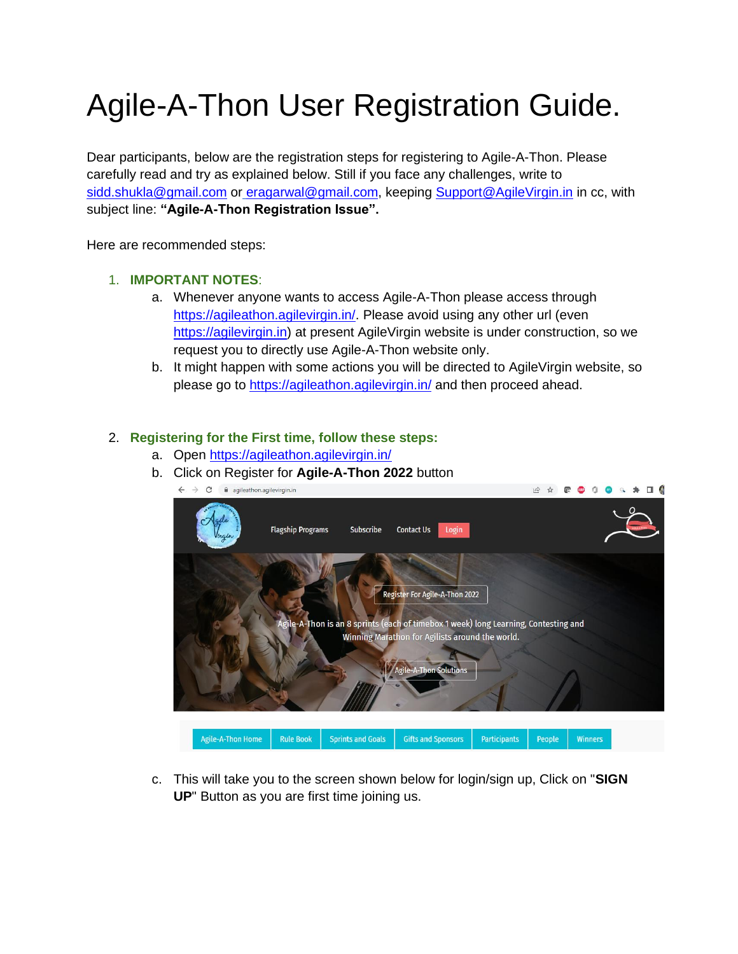# Agile-A-Thon User Registration Guide.

Dear participants, below are the registration steps for registering to Agile-A-Thon. Please carefully read and try as explained below. Still if you face any challenges, write to [sidd.shukla@gmail.com](mailto:sidd.shukla@gmail.com) or [eragarwal@gmail.com,](mailto:eragarwal@gmail.com) keeping [Support@AgileVirgin.in](mailto:Support@AgileVirgin.in) in cc, with subject line: **"Agile-A-Thon Registration Issue".** 

Here are recommended steps:

### 1. **IMPORTANT NOTES**:

- a. Whenever anyone wants to access Agile-A-Thon please access through [https://agileathon.agilevirgin.in/.](https://agileathon.agilevirgin.in/) Please avoid using any other url (even [https://agilevirgin.in\)](https://agileathon.agilevirgin.in/) at present AgileVirgin website is under construction, so we request you to directly use Agile-A-Thon website only.
- b. It might happen with some actions you will be directed to AgileVirgin website, so please go to<https://agileathon.agilevirgin.in/> and then proceed ahead.

## 2. **Registering for the First time, follow these steps:**

- a. Open<https://agileathon.agilevirgin.in/>
- b. Click on Register for **Agile-A-Thon 2022** button



c. This will take you to the screen shown below for login/sign up, Click on "**SIGN UP**" Button as you are first time joining us.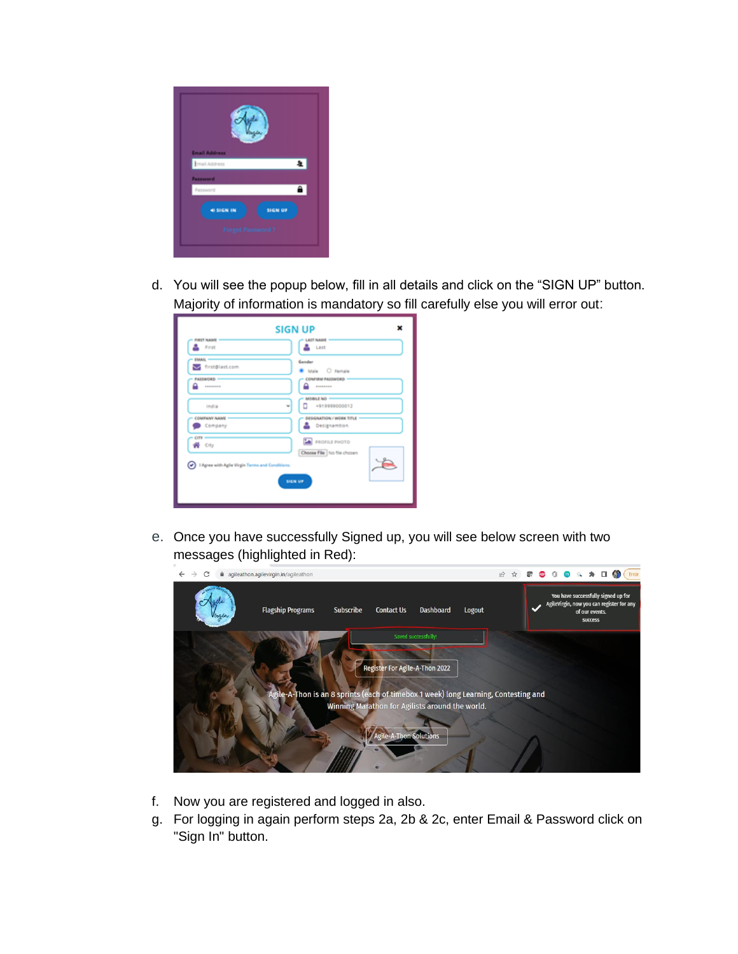

d. You will see the popup below, fill in all details and click on the "SIGN UP" button. Majority of information is mandatory so fill carefully else you will error out:

| ×<br><b>SIGN UP</b><br><b>FIRST NAME</b><br><b>LAST NAME</b>          |                             |  |
|-----------------------------------------------------------------------|-----------------------------|--|
| First                                                                 | Last                        |  |
| <b>EMAIL</b>                                                          | Gender                      |  |
| first@last.com                                                        | Male O Female               |  |
| PASSWORD -                                                            | CONFIRM PASSWORD            |  |
| --------                                                              | --------                    |  |
| India                                                                 | MOBILE NO =                 |  |
| w                                                                     | +919999000012               |  |
| <b>COMPANY NAME</b>                                                   | DESIGNATION / WORK TITLE    |  |
| Company                                                               | Designamtion                |  |
| CITY                                                                  | <b>A</b> PROFILE PHOTO      |  |
| 骨 City                                                                | Choose File No file choosen |  |
| (v) I Agree with Agile Virgin Terms and Conditions.<br><b>SIGN UP</b> |                             |  |
|                                                                       |                             |  |

e. Once you have successfully Signed up, you will see below screen with two messages (highlighted in Red):



- f. Now you are registered and logged in also.
- g. For logging in again perform steps 2a, 2b & 2c, enter Email & Password click on "Sign In" button.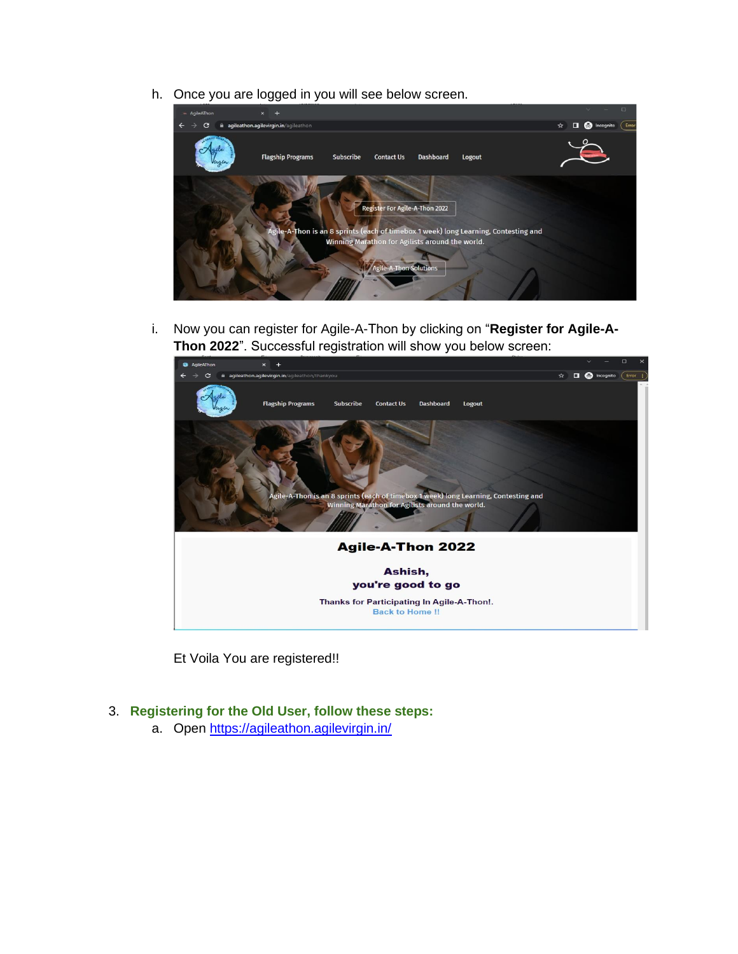h. Once you are logged in you will see below screen.



i. Now you can register for Agile-A-Thon by clicking on "**Register for Agile-A-Thon 2022**". Successful registration will show you below screen:



Et Voila You are registered!!

## 3. **Registering for the Old User, follow these steps:**

a. Open<https://agileathon.agilevirgin.in/>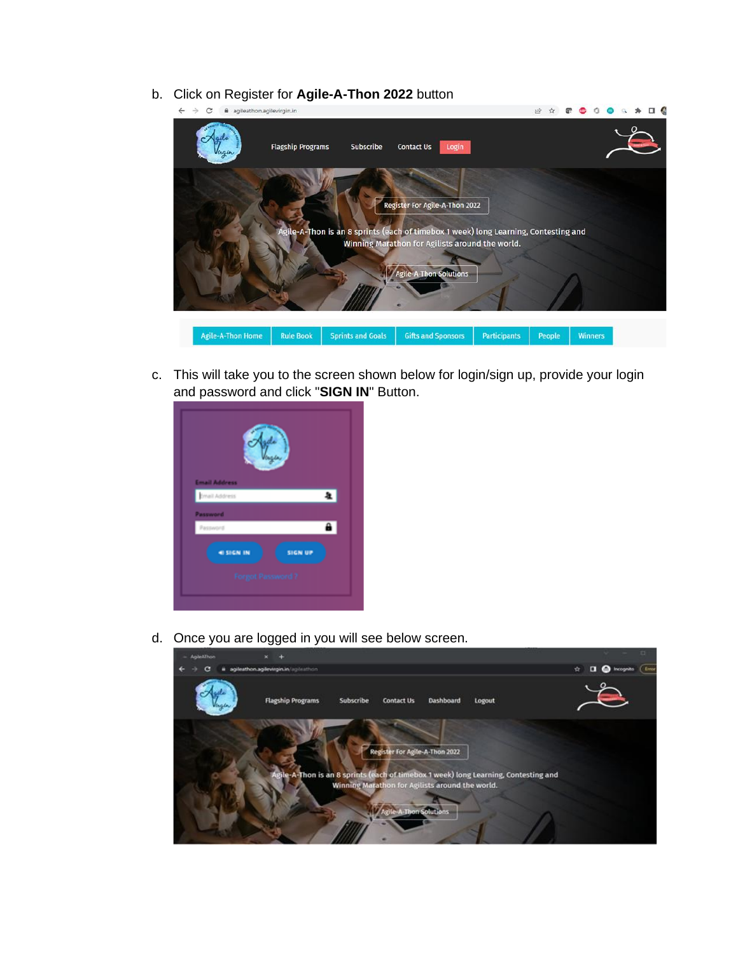b. Click on Register for **Agile-A-Thon 2022** button



c. This will take you to the screen shown below for login/sign up, provide your login and password and click "**SIGN IN**" Button.



d. Once you are logged in you will see below screen.

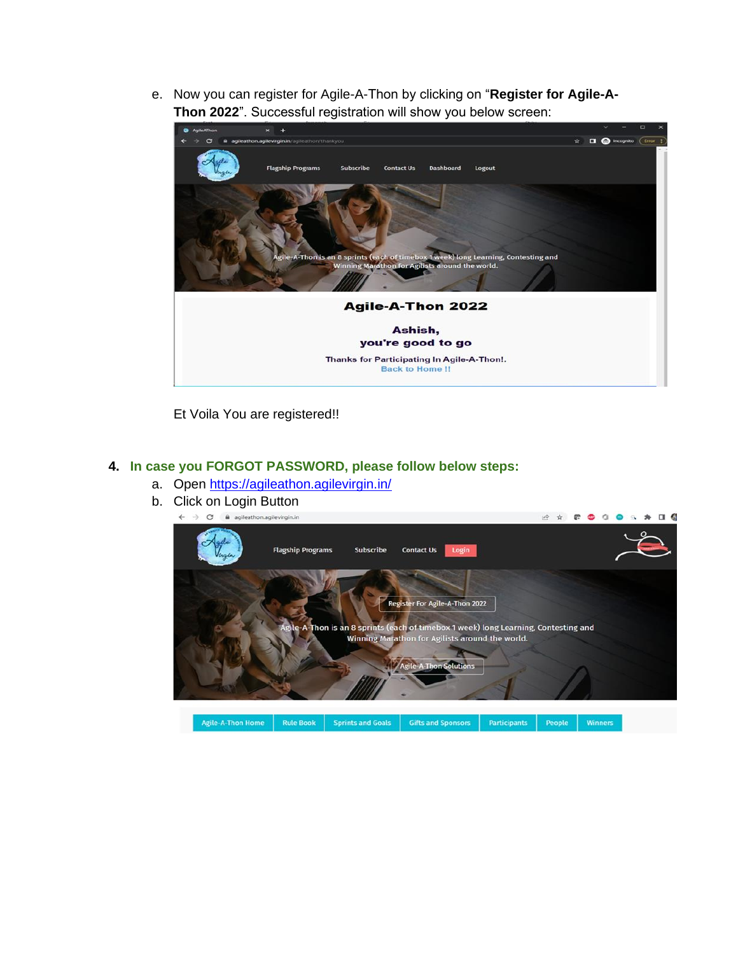e. Now you can register for Agile-A-Thon by clicking on "**Register for Agile-A-Thon 2022**". Successful registration will show you below screen:



Et Voila You are registered!!

### **4. In case you FORGOT PASSWORD, please follow below steps:**

- a. Open<https://agileathon.agilevirgin.in/>
- b. Click on Login Button

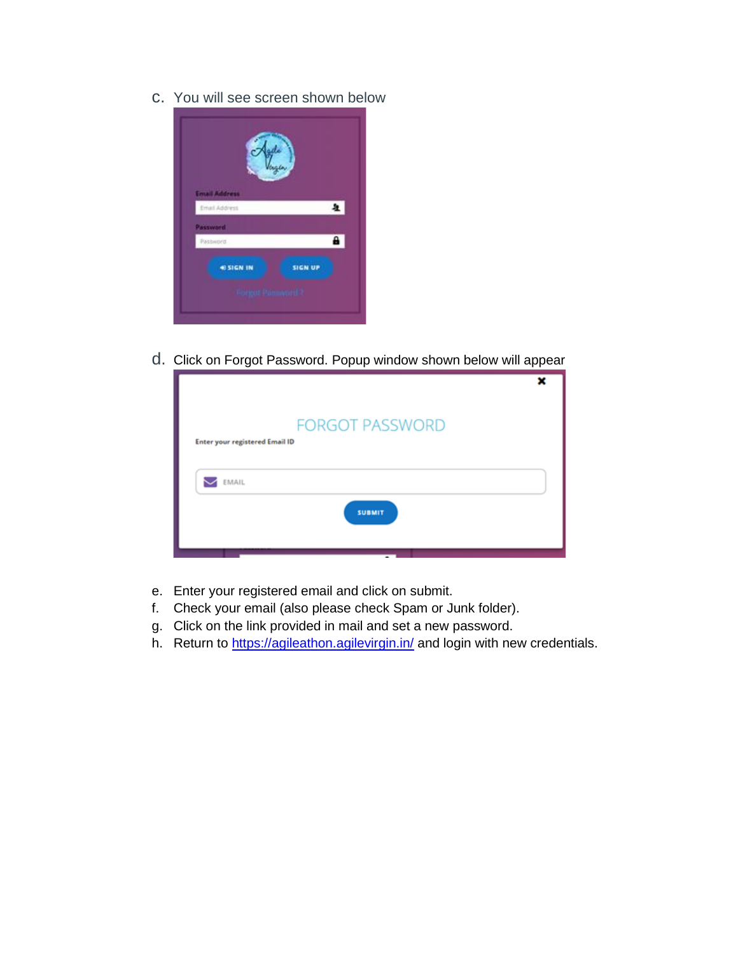c. You will see screen shown below



d. Click on Forgot Password. Popup window shown below will appear

| <b>FORGOT PASSWORD</b>                |  |  |
|---------------------------------------|--|--|
| <b>Enter your registered Email ID</b> |  |  |
|                                       |  |  |
| EMAIL                                 |  |  |
| <b>SUBMIT</b>                         |  |  |
|                                       |  |  |

- e. Enter your registered email and click on submit.
- f. Check your email (also please check Spam or Junk folder).
- g. Click on the link provided in mail and set a new password.
- h. Return to<https://agileathon.agilevirgin.in/> and login with new credentials.